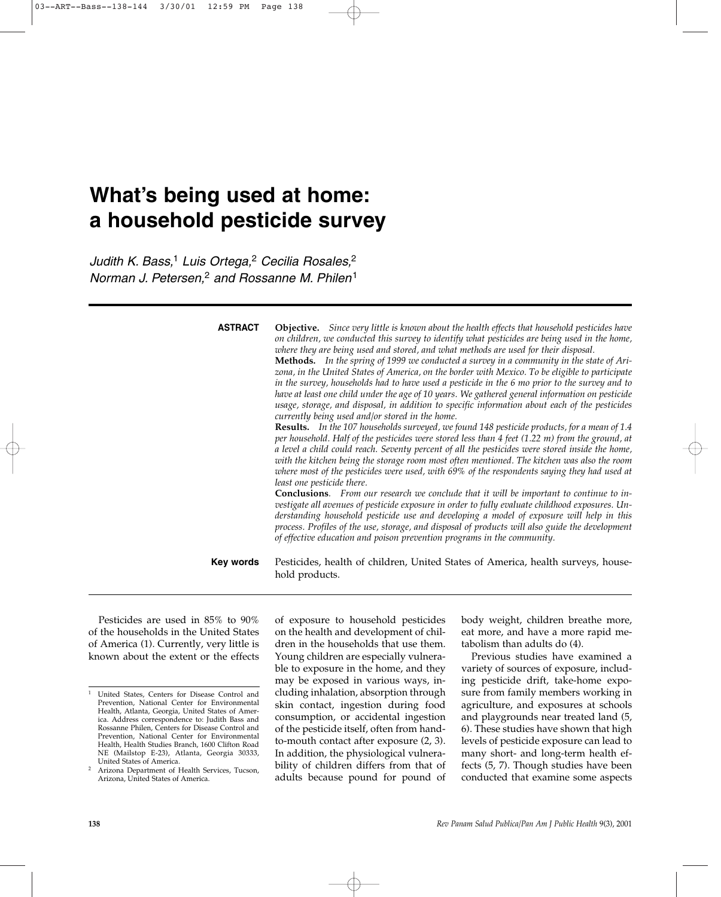# **What's being used at home: a household pesticide survey**

*Judith K. Bass,*<sup>1</sup> *Luis Ortega,*<sup>2</sup> *Cecilia Rosales,*<sup>2</sup> *Norman J. Petersen,*<sup>2</sup> *and Rossanne M. Philen*<sup>1</sup>

> **Objective.** *Since very little is known about the health effects that household pesticides have on children, we conducted this survey to identify what pesticides are being used in the home, where they are being used and stored, and what methods are used for their disposal.*  **Methods.** *In the spring of 1999 we conducted a survey in a community in the state of Arizona, in the United States of America, on the border with Mexico. To be eligible to participate in the survey, households had to have used a pesticide in the 6 mo prior to the survey and to have at least one child under the age of 10 years. We gathered general information on pesticide usage, storage, and disposal, in addition to specific information about each of the pesticides currently being used and/or stored in the home.*  **Results.** *In the 107 households surveyed, we found 148 pesticide products, for a mean of 1.4 per household. Half of the pesticides were stored less than 4 feet (1.22 m) from the ground, at a level a child could reach. Seventy percent of all the pesticides were stored inside the home, with the kitchen being the storage room most often mentioned. The kitchen was also the room where most of the pesticides were used, with 69% of the respondents saying they had used at least one pesticide there.*  **Conclusions***. From our research we conclude that it will be important to continue to investigate all avenues of pesticide exposure in order to fully evaluate childhood exposures. Understanding household pesticide use and developing a model of exposure will help in this process. Profiles of the use, storage, and disposal of products will also guide the development of effective education and poison prevention programs in the community.* Pesticides, health of children, United States of America, health surveys, household products. **ASTRACT Key words**

Pesticides are used in 85% to 90% of the households in the United States of America (1). Currently, very little is known about the extent or the effects of exposure to household pesticides on the health and development of children in the households that use them. Young children are especially vulnerable to exposure in the home, and they may be exposed in various ways, including inhalation, absorption through skin contact, ingestion during food consumption, or accidental ingestion of the pesticide itself, often from handto-mouth contact after exposure (2, 3). In addition, the physiological vulnerability of children differs from that of adults because pound for pound of body weight, children breathe more, eat more, and have a more rapid metabolism than adults do (4).

Previous studies have examined a variety of sources of exposure, including pesticide drift, take-home exposure from family members working in agriculture, and exposures at schools and playgrounds near treated land (5, 6). These studies have shown that high levels of pesticide exposure can lead to many short- and long-term health effects (5, 7). Though studies have been conducted that examine some aspects

<sup>1</sup> United States, Centers for Disease Control and Prevention, National Center for Environmental Health, Atlanta, Georgia, United States of America. Address correspondence to: Judith Bass and Rossanne Philen, Centers for Disease Control and Prevention, National Center for Environmental Health, Health Studies Branch, 1600 Clifton Road NE (Mailstop E-23), Atlanta, Georgia 30333, United States of America.

<sup>2</sup> Arizona Department of Health Services, Tucson, Arizona, United States of America.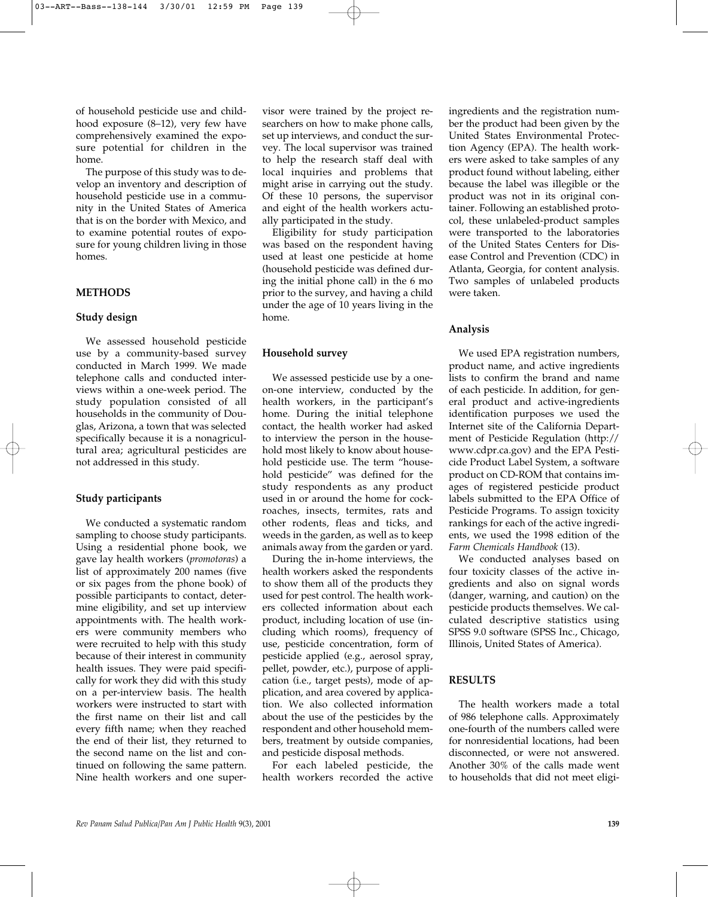of household pesticide use and childhood exposure (8–12), very few have comprehensively examined the exposure potential for children in the home.

The purpose of this study was to develop an inventory and description of household pesticide use in a community in the United States of America that is on the border with Mexico, and to examine potential routes of exposure for young children living in those homes.

#### **METHODS**

#### **Study design**

We assessed household pesticide use by a community-based survey conducted in March 1999. We made telephone calls and conducted interviews within a one-week period. The study population consisted of all households in the community of Douglas, Arizona, a town that was selected specifically because it is a nonagricultural area; agricultural pesticides are not addressed in this study.

### **Study participants**

We conducted a systematic random sampling to choose study participants. Using a residential phone book, we gave lay health workers (*promotoras*) a list of approximately 200 names (five or six pages from the phone book) of possible participants to contact, determine eligibility, and set up interview appointments with. The health workers were community members who were recruited to help with this study because of their interest in community health issues. They were paid specifically for work they did with this study on a per-interview basis. The health workers were instructed to start with the first name on their list and call every fifth name; when they reached the end of their list, they returned to the second name on the list and continued on following the same pattern. Nine health workers and one super-

visor were trained by the project researchers on how to make phone calls, set up interviews, and conduct the survey. The local supervisor was trained to help the research staff deal with local inquiries and problems that might arise in carrying out the study. Of these 10 persons, the supervisor and eight of the health workers actually participated in the study.

Eligibility for study participation was based on the respondent having used at least one pesticide at home (household pesticide was defined during the initial phone call) in the 6 mo prior to the survey, and having a child under the age of 10 years living in the home.

#### **Household survey**

We assessed pesticide use by a oneon-one interview, conducted by the health workers, in the participant's home. During the initial telephone contact, the health worker had asked to interview the person in the household most likely to know about household pesticide use. The term "household pesticide" was defined for the study respondents as any product used in or around the home for cockroaches, insects, termites, rats and other rodents, fleas and ticks, and weeds in the garden, as well as to keep animals away from the garden or yard.

During the in-home interviews, the health workers asked the respondents to show them all of the products they used for pest control. The health workers collected information about each product, including location of use (including which rooms), frequency of use, pesticide concentration, form of pesticide applied (e.g., aerosol spray, pellet, powder, etc.), purpose of application (i.e., target pests), mode of application, and area covered by application. We also collected information about the use of the pesticides by the respondent and other household members, treatment by outside companies, and pesticide disposal methods.

For each labeled pesticide, the health workers recorded the active

ingredients and the registration number the product had been given by the United States Environmental Protection Agency (EPA). The health workers were asked to take samples of any product found without labeling, either because the label was illegible or the product was not in its original container. Following an established protocol, these unlabeled-product samples were transported to the laboratories of the United States Centers for Disease Control and Prevention (CDC) in Atlanta, Georgia, for content analysis. Two samples of unlabeled products were taken.

#### **Analysis**

We used EPA registration numbers, product name, and active ingredients lists to confirm the brand and name of each pesticide. In addition, for general product and active-ingredients identification purposes we used the Internet site of the California Department of Pesticide Regulation (http:// www.cdpr.ca.gov) and the EPA Pesticide Product Label System, a software product on CD-ROM that contains images of registered pesticide product labels submitted to the EPA Office of Pesticide Programs. To assign toxicity rankings for each of the active ingredients, we used the 1998 edition of the *Farm Chemicals Handbook* (13).

We conducted analyses based on four toxicity classes of the active ingredients and also on signal words (danger, warning, and caution) on the pesticide products themselves. We calculated descriptive statistics using SPSS 9.0 software (SPSS Inc., Chicago, Illinois, United States of America).

#### **RESULTS**

The health workers made a total of 986 telephone calls. Approximately one-fourth of the numbers called were for nonresidential locations, had been disconnected, or were not answered. Another 30% of the calls made went to households that did not meet eligi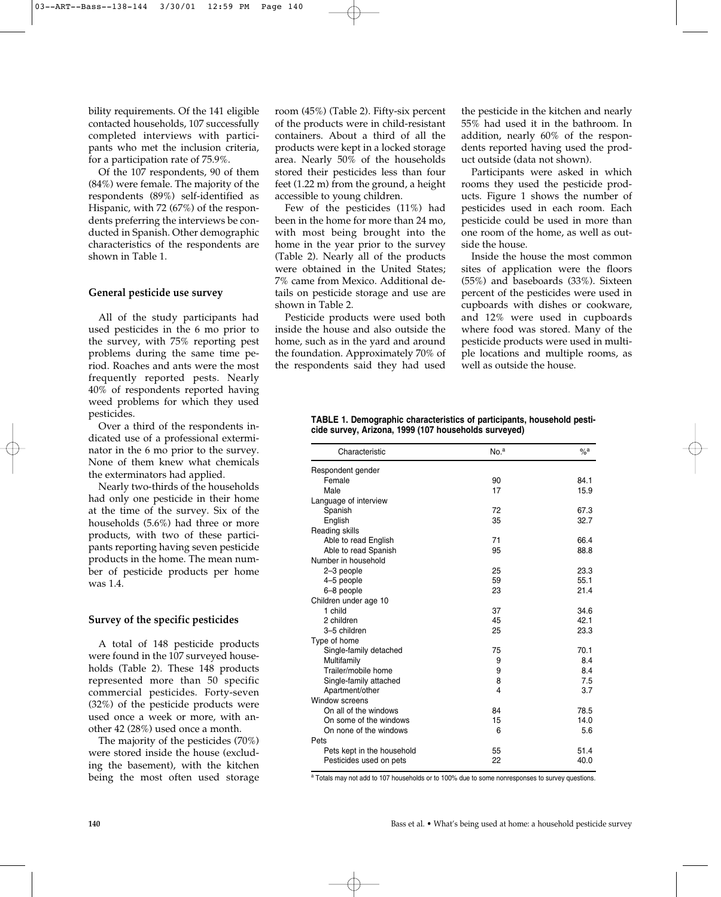bility requirements. Of the 141 eligible contacted households, 107 successfully completed interviews with participants who met the inclusion criteria, for a participation rate of 75.9%.

Of the 107 respondents, 90 of them (84%) were female. The majority of the respondents (89%) self-identified as Hispanic, with 72 (67%) of the respondents preferring the interviews be conducted in Spanish. Other demographic characteristics of the respondents are shown in Table 1.

#### **General pesticide use survey**

All of the study participants had used pesticides in the 6 mo prior to the survey, with 75% reporting pest problems during the same time period. Roaches and ants were the most frequently reported pests. Nearly 40% of respondents reported having weed problems for which they used pesticides.

Over a third of the respondents indicated use of a professional exterminator in the 6 mo prior to the survey. None of them knew what chemicals the exterminators had applied.

Nearly two-thirds of the households had only one pesticide in their home at the time of the survey. Six of the households (5.6%) had three or more products, with two of these participants reporting having seven pesticide products in the home. The mean number of pesticide products per home was 1.4.

#### **Survey of the specific pesticides**

A total of 148 pesticide products were found in the 107 surveyed households (Table 2). These 148 products represented more than 50 specific commercial pesticides. Forty-seven (32%) of the pesticide products were used once a week or more, with another 42 (28%) used once a month.

The majority of the pesticides (70%) were stored inside the house (excluding the basement), with the kitchen being the most often used storage

room (45%) (Table 2). Fifty-six percent of the products were in child-resistant containers. About a third of all the products were kept in a locked storage area. Nearly 50% of the households stored their pesticides less than four feet (1.22 m) from the ground, a height accessible to young children.

Few of the pesticides (11%) had been in the home for more than 24 mo, with most being brought into the home in the year prior to the survey (Table 2). Nearly all of the products were obtained in the United States; 7% came from Mexico. Additional details on pesticide storage and use are shown in Table 2.

Pesticide products were used both inside the house and also outside the home, such as in the yard and around the foundation. Approximately 70% of the respondents said they had used

the pesticide in the kitchen and nearly 55% had used it in the bathroom. In addition, nearly 60% of the respondents reported having used the product outside (data not shown).

Participants were asked in which rooms they used the pesticide products. Figure 1 shows the number of pesticides used in each room. Each pesticide could be used in more than one room of the home, as well as outside the house.

Inside the house the most common sites of application were the floors (55%) and baseboards (33%). Sixteen percent of the pesticides were used in cupboards with dishes or cookware, and 12% were used in cupboards where food was stored. Many of the pesticide products were used in multiple locations and multiple rooms, as well as outside the house.

| TABLE 1. Demographic characteristics of participants, household pesti- |  |
|------------------------------------------------------------------------|--|
| cide survey, Arizona, 1999 (107 households surveyed)                   |  |

| Characteristic             | No. <sup>a</sup>        | $\%$ a |
|----------------------------|-------------------------|--------|
| Respondent gender          |                         |        |
| Female                     | 90                      | 84.1   |
| Male                       | 17                      | 15.9   |
| Language of interview      |                         |        |
| Spanish                    | 72                      | 67.3   |
| English                    | 35                      | 32.7   |
| Reading skills             |                         |        |
| Able to read English       | 71                      | 66.4   |
| Able to read Spanish       | 95                      | 88.8   |
| Number in household        |                         |        |
| 2-3 people                 | 25                      | 23.3   |
| 4-5 people                 | 59                      | 55.1   |
| 6-8 people                 | 23                      | 21.4   |
| Children under age 10      |                         |        |
| 1 child                    | 37                      | 34.6   |
| 2 children                 | 45                      | 42.1   |
| 3-5 children               | 25                      | 23.3   |
| Type of home               |                         |        |
| Single-family detached     | 75                      | 70.1   |
| Multifamily                | 9                       | 8.4    |
| Trailer/mobile home        | 9                       | 8.4    |
| Single-family attached     | 8                       | 7.5    |
| Apartment/other            | $\overline{\mathbf{4}}$ | 3.7    |
| Window screens             |                         |        |
| On all of the windows      | 84                      | 78.5   |
| On some of the windows     | 15                      | 14.0   |
| On none of the windows     | 6                       | 5.6    |
| Pets                       |                         |        |
| Pets kept in the household | 55                      | 51.4   |
| Pesticides used on pets    | 22                      | 40.0   |

a Totals may not add to 107 households or to 100% due to some nonresponses to survey questions.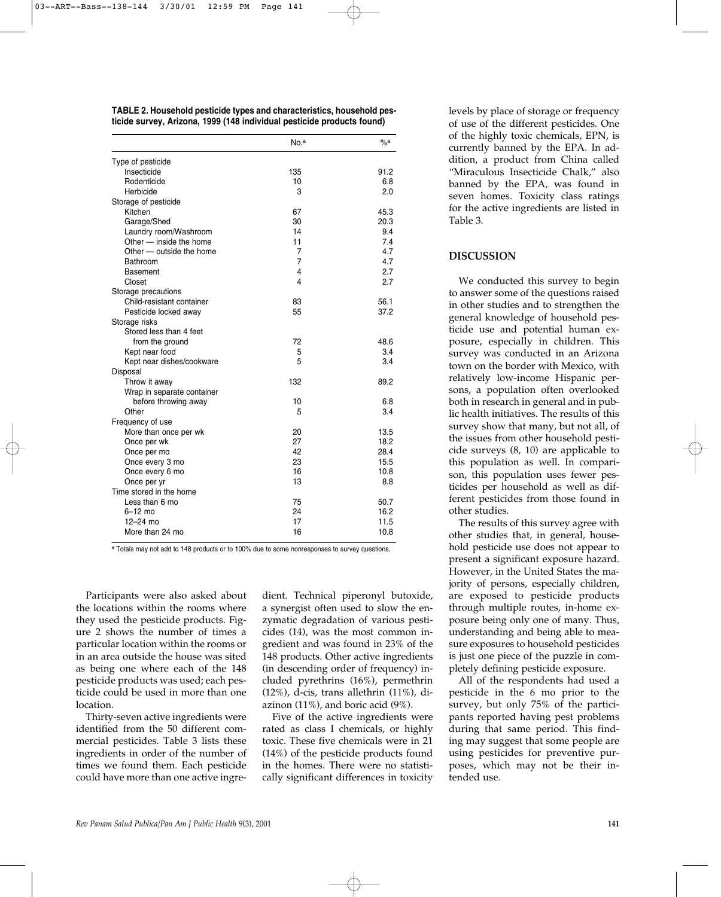**TABLE 2. Household pesticide types and characteristics, household pesticide survey, Arizona, 1999 (148 individual pesticide products found)**

|                            | No. <sup>a</sup> | $\%$ a |
|----------------------------|------------------|--------|
| Type of pesticide          |                  |        |
| Insecticide                | 135              | 91.2   |
| Rodenticide                | 10               | 6.8    |
| Herbicide                  | 3                | 2.0    |
| Storage of pesticide       |                  |        |
| Kitchen                    | 67               | 45.3   |
| Garage/Shed                | 30               | 20.3   |
| Laundry room/Washroom      | 14               | 9.4    |
| Other - inside the home    | 11               | 7.4    |
| Other - outside the home   | $\overline{7}$   | 4.7    |
| <b>Bathroom</b>            | $\overline{7}$   | 4.7    |
| <b>Basement</b>            | $\overline{4}$   | 2.7    |
| Closet                     | 4                | 2.7    |
| Storage precautions        |                  |        |
| Child-resistant container  | 83               | 56.1   |
| Pesticide locked away      | 55               | 37.2   |
| Storage risks              |                  |        |
| Stored less than 4 feet    |                  |        |
| from the ground            | 72               | 48.6   |
| Kept near food             | 5                | 3.4    |
| Kept near dishes/cookware  | 5                | 3.4    |
| Disposal                   |                  |        |
| Throw it away              | 132              | 89.2   |
| Wrap in separate container |                  |        |
| before throwing away       | 10               | 6.8    |
| Other                      | 5                | 3.4    |
| Frequency of use           |                  |        |
| More than once per wk      | 20               | 13.5   |
| Once per wk                | 27               | 18.2   |
| Once per mo                | 42               | 28.4   |
| Once every 3 mo            | 23               | 15.5   |
| Once every 6 mo            | 16               | 10.8   |
| Once per yr                | 13               | 8.8    |
| Time stored in the home    |                  |        |
| Less than 6 mo             | 75               | 50.7   |
| $6-12$ mo                  | 24               | 16.2   |
| $12 - 24$ mo               | 17               | 11.5   |
| More than 24 mo            | 16               | 10.8   |

<sup>a</sup> Totals may not add to 148 products or to 100% due to some nonresponses to survey questions.

Participants were also asked about the locations within the rooms where they used the pesticide products. Figure 2 shows the number of times a particular location within the rooms or in an area outside the house was sited as being one where each of the 148 pesticide products was used; each pesticide could be used in more than one location.

Thirty-seven active ingredients were identified from the 50 different commercial pesticides. Table 3 lists these ingredients in order of the number of times we found them. Each pesticide could have more than one active ingre-

dient. Technical piperonyl butoxide, a synergist often used to slow the enzymatic degradation of various pesticides (14), was the most common ingredient and was found in 23% of the 148 products. Other active ingredients (in descending order of frequency) included pyrethrins (16%), permethrin (12%), d-cis, trans allethrin (11%), diazinon (11%), and boric acid (9%).

Five of the active ingredients were rated as class I chemicals, or highly toxic. These five chemicals were in 21 (14%) of the pesticide products found in the homes. There were no statistically significant differences in toxicity levels by place of storage or frequency of use of the different pesticides. One of the highly toxic chemicals, EPN, is currently banned by the EPA. In addition, a product from China called "Miraculous Insecticide Chalk," also banned by the EPA, was found in seven homes. Toxicity class ratings for the active ingredients are listed in Table 3.

#### **DISCUSSION**

We conducted this survey to begin to answer some of the questions raised in other studies and to strengthen the general knowledge of household pesticide use and potential human exposure, especially in children. This survey was conducted in an Arizona town on the border with Mexico, with relatively low-income Hispanic persons, a population often overlooked both in research in general and in public health initiatives. The results of this survey show that many, but not all, of the issues from other household pesticide surveys (8, 10) are applicable to this population as well. In comparison, this population uses fewer pesticides per household as well as different pesticides from those found in other studies.

The results of this survey agree with other studies that, in general, household pesticide use does not appear to present a significant exposure hazard. However, in the United States the majority of persons, especially children, are exposed to pesticide products through multiple routes, in-home exposure being only one of many. Thus, understanding and being able to measure exposures to household pesticides is just one piece of the puzzle in completely defining pesticide exposure.

All of the respondents had used a pesticide in the 6 mo prior to the survey, but only 75% of the participants reported having pest problems during that same period. This finding may suggest that some people are using pesticides for preventive purposes, which may not be their intended use.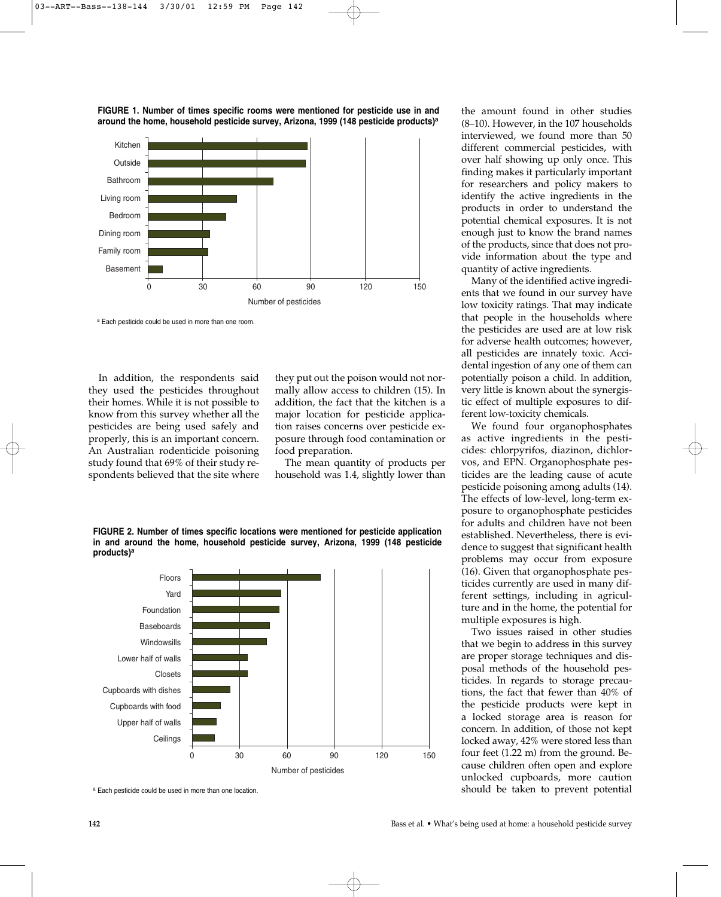

**FIGURE 1. Number of times specific rooms were mentioned for pesticide use in and around the home, household pesticide survey, Arizona, 1999 (148 pesticide products)a**

a Each pesticide could be used in more than one room.

In addition, the respondents said they used the pesticides throughout their homes. While it is not possible to know from this survey whether all the pesticides are being used safely and properly, this is an important concern. An Australian rodenticide poisoning study found that 69% of their study respondents believed that the site where

they put out the poison would not normally allow access to children (15). In addition, the fact that the kitchen is a major location for pesticide application raises concerns over pesticide exposure through food contamination or food preparation.

The mean quantity of products per household was 1.4, slightly lower than

**FIGURE 2. Number of times specific locations were mentioned for pesticide application in and around the home, household pesticide survey, Arizona, 1999 (148 pesticide products)<sup>a</sup>**



a Each pesticide could be used in more than one location.

the amount found in other studies (8–10). However, in the 107 households interviewed, we found more than 50 different commercial pesticides, with over half showing up only once. This finding makes it particularly important for researchers and policy makers to identify the active ingredients in the products in order to understand the potential chemical exposures. It is not enough just to know the brand names of the products, since that does not provide information about the type and quantity of active ingredients.

Many of the identified active ingredients that we found in our survey have low toxicity ratings. That may indicate that people in the households where the pesticides are used are at low risk for adverse health outcomes; however, all pesticides are innately toxic. Accidental ingestion of any one of them can potentially poison a child. In addition, very little is known about the synergistic effect of multiple exposures to different low-toxicity chemicals.

We found four organophosphates as active ingredients in the pesticides: chlorpyrifos, diazinon, dichlorvos, and EPN. Organophosphate pesticides are the leading cause of acute pesticide poisoning among adults (14). The effects of low-level, long-term exposure to organophosphate pesticides for adults and children have not been established. Nevertheless, there is evidence to suggest that significant health problems may occur from exposure (16). Given that organophosphate pesticides currently are used in many different settings, including in agriculture and in the home, the potential for multiple exposures is high.

Two issues raised in other studies that we begin to address in this survey are proper storage techniques and disposal methods of the household pesticides. In regards to storage precautions, the fact that fewer than 40% of the pesticide products were kept in a locked storage area is reason for concern. In addition, of those not kept locked away, 42% were stored less than four feet (1.22 m) from the ground. Because children often open and explore unlocked cupboards, more caution should be taken to prevent potential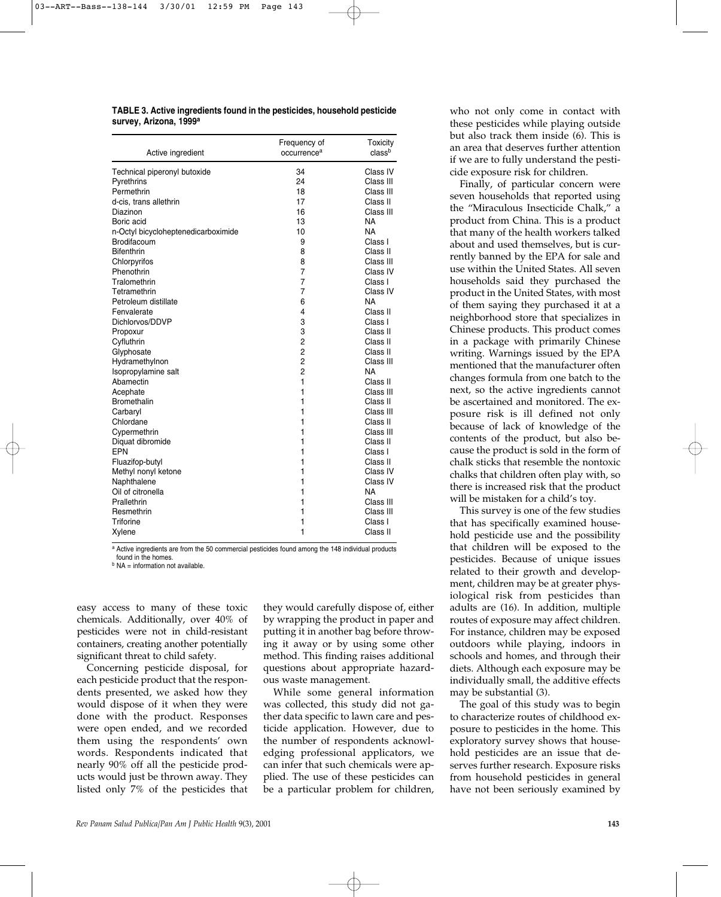**TABLE 3. Active ingredients found in the pesticides, household pesticide survey, Arizona, 1999a** 

| Active ingredient                   | Frequency of<br>occurrence <sup>a</sup> | Toxicity<br>classb |
|-------------------------------------|-----------------------------------------|--------------------|
| Technical piperonyl butoxide        | 34                                      | Class IV           |
| Pyrethrins                          | 24                                      | Class III          |
| Permethrin                          | 18                                      | Class III          |
| d-cis. trans allethrin              | 17                                      | Class II           |
| Diazinon                            | 16                                      | Class III          |
| Boric acid                          | 13                                      | NA                 |
| n-Octyl bicycloheptenedicarboximide | 10                                      | <b>NA</b>          |
| Brodifacoum                         | 9                                       | Class I            |
| <b>Bifenthrin</b>                   | 8                                       | Class II           |
| Chlorpyrifos                        | 8                                       | Class III          |
| Phenothrin                          | 7                                       | Class IV           |
| Tralomethrin                        | $\overline{7}$                          | Class I            |
| Tetramethrin                        | 7                                       | Class IV           |
| Petroleum distillate                | 6                                       | NA                 |
| Fenvalerate                         | 4                                       | Class II           |
| Dichlorvos/DDVP                     | 3                                       | Class I            |
| Propoxur                            | 3                                       | Class II           |
| Cyfluthrin                          | $\overline{2}$                          | Class II           |
| Glyphosate                          | $\overline{2}$                          | Class II           |
| Hydramethylnon                      | $\overline{2}$                          | Class III          |
| Isopropylamine salt                 | $\overline{2}$                          | NA                 |
| Abamectin                           | 1                                       | Class II           |
| Acephate                            | 1                                       | Class III          |
| Bromethalin                         | 1                                       | Class II           |
| Carbaryl                            | 1                                       | Class III          |
| Chlordane                           | 1                                       | Class II           |
| Cypermethrin                        | 1                                       | Class III          |
| Diquat dibromide                    | 1                                       | Class II           |
| EPN                                 | 1                                       | Class I            |
| Fluazifop-butyl                     | 1                                       | Class II           |
| Methyl nonyl ketone                 | 1                                       | Class IV           |
| Naphthalene                         | 1                                       | Class IV           |
| Oil of citronella                   | 1                                       | <b>NA</b>          |
| Prallethrin                         | 1                                       | Class III          |
| Resmethrin                          | 1                                       | Class III          |
| Triforine                           | 1                                       | Class I            |
| Xylene                              | 1                                       | Class II           |

a Active ingredients are from the 50 commercial pesticides found among the 148 individual products found in the homes.

 $<sup>b</sup> NA = information not available.$ </sup>

easy access to many of these toxic chemicals. Additionally, over 40% of pesticides were not in child-resistant containers, creating another potentially significant threat to child safety.

Concerning pesticide disposal, for each pesticide product that the respondents presented, we asked how they would dispose of it when they were done with the product. Responses were open ended, and we recorded them using the respondents' own words. Respondents indicated that nearly 90% off all the pesticide products would just be thrown away. They listed only 7% of the pesticides that they would carefully dispose of, either by wrapping the product in paper and putting it in another bag before throwing it away or by using some other method. This finding raises additional questions about appropriate hazardous waste management.

While some general information was collected, this study did not gather data specific to lawn care and pesticide application. However, due to the number of respondents acknowledging professional applicators, we can infer that such chemicals were applied. The use of these pesticides can be a particular problem for children, who not only come in contact with these pesticides while playing outside but also track them inside (6). This is an area that deserves further attention if we are to fully understand the pesticide exposure risk for children.

Finally, of particular concern were seven households that reported using the "Miraculous Insecticide Chalk," a product from China. This is a product that many of the health workers talked about and used themselves, but is currently banned by the EPA for sale and use within the United States. All seven households said they purchased the product in the United States, with most of them saying they purchased it at a neighborhood store that specializes in Chinese products. This product comes in a package with primarily Chinese writing. Warnings issued by the EPA mentioned that the manufacturer often changes formula from one batch to the next, so the active ingredients cannot be ascertained and monitored. The exposure risk is ill defined not only because of lack of knowledge of the contents of the product, but also because the product is sold in the form of chalk sticks that resemble the nontoxic chalks that children often play with, so there is increased risk that the product will be mistaken for a child's toy.

This survey is one of the few studies that has specifically examined household pesticide use and the possibility that children will be exposed to the pesticides. Because of unique issues related to their growth and development, children may be at greater physiological risk from pesticides than adults are (16). In addition, multiple routes of exposure may affect children. For instance, children may be exposed outdoors while playing, indoors in schools and homes, and through their diets. Although each exposure may be individually small, the additive effects may be substantial (3).

The goal of this study was to begin to characterize routes of childhood exposure to pesticides in the home. This exploratory survey shows that household pesticides are an issue that deserves further research. Exposure risks from household pesticides in general have not been seriously examined by